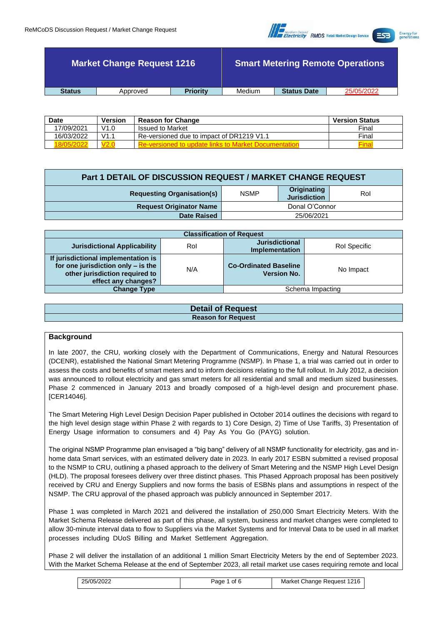

|               | <b>Market Change Request 1216</b> |                 | <b>Smart Metering Remote Operations</b> |                    |            |
|---------------|-----------------------------------|-----------------|-----------------------------------------|--------------------|------------|
| <b>Status</b> | Approved                          | <b>Priority</b> | Medium                                  | <b>Status Date</b> | 25/05/2022 |

| <b>Date</b> | Version | <b>Reason for Change</b>                  | <b>Version Status</b> |
|-------------|---------|-------------------------------------------|-----------------------|
| 17/09/2021  | V1.0    | <b>Issued to Market</b>                   | Final                 |
| 16/03/2022  | V1.1    | Re-versioned due to impact of DR1219 V1.1 | Final                 |
|             |         |                                           |                       |

| <b>Part 1 DETAIL OF DISCUSSION REQUEST / MARKET CHANGE REQUEST</b> |                |                                    |     |  |  |
|--------------------------------------------------------------------|----------------|------------------------------------|-----|--|--|
| <b>Requesting Organisation(s)</b>                                  | <b>NSMP</b>    | Originating<br><b>Jurisdiction</b> | Rol |  |  |
| <b>Request Originator Name</b>                                     | Donal O'Connor |                                    |     |  |  |
| <b>Date Raised</b>                                                 | 25/06/2021     |                                    |     |  |  |

| <b>Classification of Request</b>                                                                                                   |     |                                                    |                  |  |  |  |
|------------------------------------------------------------------------------------------------------------------------------------|-----|----------------------------------------------------|------------------|--|--|--|
| <b>Jurisdictional Applicability</b>                                                                                                | Rol | <b>Jurisdictional</b><br><b>Implementation</b>     | Rol Specific     |  |  |  |
| If jurisdictional implementation is<br>for one jurisdiction only - is the<br>other jurisdiction required to<br>effect any changes? | N/A | <b>Co-Ordinated Baseline</b><br><b>Version No.</b> | No Impact        |  |  |  |
| <b>Change Type</b>                                                                                                                 |     |                                                    | Schema Impacting |  |  |  |

| <b>Detail of Request</b>  |
|---------------------------|
| <b>Reason for Request</b> |
|                           |

## **Background**

In late 2007, the CRU, working closely with the Department of Communications, Energy and Natural Resources (DCENR), established the National Smart Metering Programme (NSMP). In Phase 1, a trial was carried out in order to assess the costs and benefits of smart meters and to inform decisions relating to the full rollout. In July 2012, a decision was announced to rollout electricity and gas smart meters for all residential and small and medium sized businesses. Phase 2 commenced in January 2013 and broadly composed of a high-level design and procurement phase. [CER14046].

The Smart Metering High Level Design Decision Paper published in October 2014 outlines the decisions with regard to the high level design stage within Phase 2 with regards to 1) Core Design, 2) Time of Use Tariffs, 3) Presentation of Energy Usage information to consumers and 4) Pay As You Go (PAYG) solution.

The original NSMP Programme plan envisaged a "big bang" delivery of all NSMP functionality for electricity, gas and inhome data Smart services, with an estimated delivery date in 2023. In early 2017 ESBN submitted a revised proposal to the NSMP to CRU, outlining a phased approach to the delivery of Smart Metering and the NSMP High Level Design (HLD). The proposal foresees delivery over three distinct phases. This Phased Approach proposal has been positively received by CRU and Energy Suppliers and now forms the basis of ESBNs plans and assumptions in respect of the NSMP. The CRU approval of the phased approach was publicly announced in September 2017.

Phase 1 was completed in March 2021 and delivered the installation of 250,000 Smart Electricity Meters. With the Market Schema Release delivered as part of this phase, all system, business and market changes were completed to allow 30-minute interval data to flow to Suppliers via the Market Systems and for Interval Data to be used in all market processes including DUoS Billing and Market Settlement Aggregation.

Phase 2 will deliver the installation of an additional 1 million Smart Electricity Meters by the end of September 2023. With the Market Schema Release at the end of September 2023, all retail market use cases requiring remote and local

| 25/05/2022 | 'of Ł<br>Page | Market Change Request 1216 |
|------------|---------------|----------------------------|
|------------|---------------|----------------------------|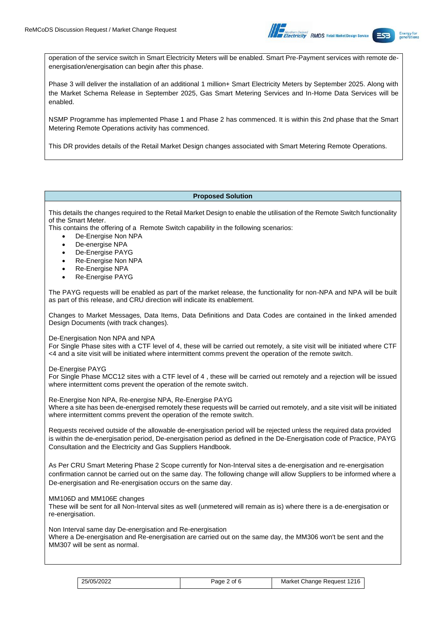

operation of the service switch in Smart Electricity Meters will be enabled. Smart Pre-Payment services with remote deenergisation/energisation can begin after this phase.

Phase 3 will deliver the installation of an additional 1 million+ Smart Electricity Meters by September 2025. Along with the Market Schema Release in September 2025, Gas Smart Metering Services and In-Home Data Services will be enabled.

NSMP Programme has implemented Phase 1 and Phase 2 has commenced. It is within this 2nd phase that the Smart Metering Remote Operations activity has commenced.

This DR provides details of the Retail Market Design changes associated with Smart Metering Remote Operations.

#### **Proposed Solution**

This details the changes required to the Retail Market Design to enable the utilisation of the Remote Switch functionality of the Smart Meter.

This contains the offering of a Remote Switch capability in the following scenarios:

- De-Energise Non NPA
- De-energise NPA
- De-Energise PAYG
- Re-Energise Non NPA
- Re-Energise NPA
- Re-Energise PAYG

The PAYG requests will be enabled as part of the market release, the functionality for non-NPA and NPA will be built as part of this release, and CRU direction will indicate its enablement.

Changes to Market Messages, Data Items, Data Definitions and Data Codes are contained in the linked amended Design Documents (with track changes).

De-Energisation Non NPA and NPA

For Single Phase sites with a CTF level of 4, these will be carried out remotely, a site visit will be initiated where CTF <4 and a site visit will be initiated where intermittent comms prevent the operation of the remote switch.

De-Energise PAYG

For Single Phase MCC12 sites with a CTF level of 4 , these will be carried out remotely and a rejection will be issued where intermittent coms prevent the operation of the remote switch.

Re-Energise Non NPA, Re-energise NPA, Re-Energise PAYG

Where a site has been de-energised remotely these requests will be carried out remotely, and a site visit will be initiated where intermittent comms prevent the operation of the remote switch.

Requests received outside of the allowable de-energisation period will be rejected unless the required data provided is within the de-energisation period, De-energisation period as defined in the De-Energisation code of Practice, PAYG Consultation and the Electricity and Gas Suppliers Handbook.

As Per CRU Smart Metering Phase 2 Scope currently for Non-Interval sites a de-energisation and re-energisation confirmation cannot be carried out on the same day. The following change will allow Suppliers to be informed where a De-energisation and Re-energisation occurs on the same day.

MM106D and MM106E changes

These will be sent for all Non-Interval sites as well (unmetered will remain as is) where there is a de-energisation or re-energisation.

Non Interval same day De-energisation and Re-energisation

Where a De-energisation and Re-energisation are carried out on the same day, the MM306 won't be sent and the MM307 will be sent as normal.

| 25/05/2022 | Page 2 of 6 | Market Change Request 1216 |
|------------|-------------|----------------------------|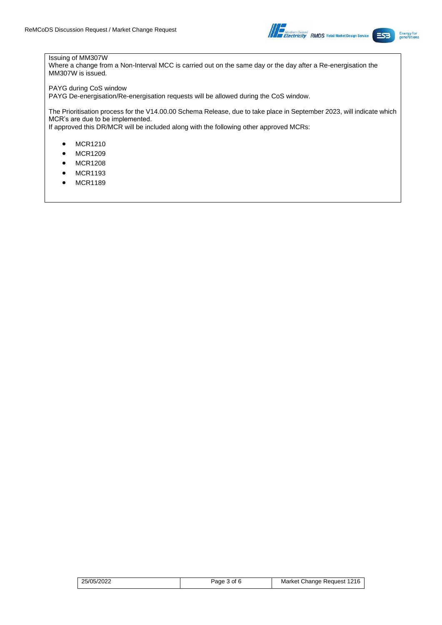

### Issuing of MM307W

Where a change from a Non-Interval MCC is carried out on the same day or the day after a Re-energisation the MM307W is issued.

### PAYG during CoS window

PAYG De-energisation/Re-energisation requests will be allowed during the CoS window.

The Prioritisation process for the V14.00.00 Schema Release, due to take place in September 2023, will indicate which MCR's are due to be implemented. If approved this DR/MCR will be included along with the following other approved MCRs:

- MCR1210
- MCR1209
- MCR1208
- MCR1193
- MCR1189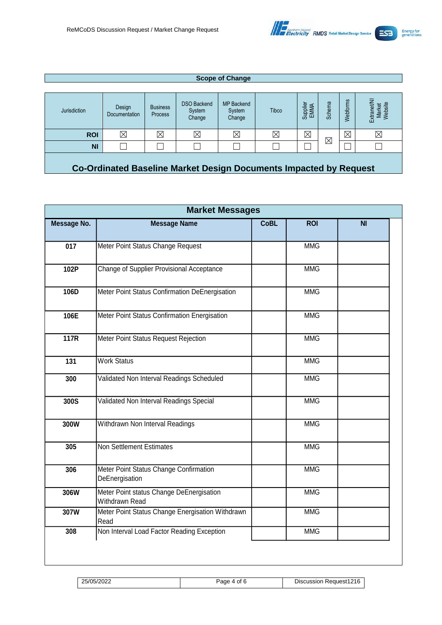

| <b>Scope of Change</b> |                                |                            |                                        |                                       |              |                  |             |             |                                |
|------------------------|--------------------------------|----------------------------|----------------------------------------|---------------------------------------|--------------|------------------|-------------|-------------|--------------------------------|
|                        |                                |                            |                                        |                                       |              |                  |             |             |                                |
| Jurisdiction           | Design<br><b>Documentation</b> | <b>Business</b><br>Process | <b>DSO Backend</b><br>System<br>Change | <b>MP</b> Backend<br>System<br>Change | <b>Tibco</b> | Supplier<br>EMMA | Schema      | Webforms    | Extranet/<br>Market<br>Website |
| <b>ROI</b>             | $\times$                       | $\boxtimes$                | $\boxtimes$                            | $\boxtimes$                           | $\boxtimes$  | $\boxtimes$      | $\boxtimes$ | $\boxtimes$ | $\boxtimes$                    |
| <b>NI</b>              |                                |                            |                                        |                                       |              |                  |             |             |                                |
|                        |                                |                            |                                        |                                       |              |                  |             |             |                                |

**Co-Ordinated Baseline Market Design Documents Impacted by Request**

| <b>Market Messages</b> |                                                            |             |            |           |  |  |
|------------------------|------------------------------------------------------------|-------------|------------|-----------|--|--|
| Message No.            | <b>Message Name</b>                                        | <b>CoBL</b> | <b>ROI</b> | <b>NI</b> |  |  |
| 017                    | Meter Point Status Change Request                          |             | <b>MMG</b> |           |  |  |
| 102P                   | Change of Supplier Provisional Acceptance                  |             | <b>MMG</b> |           |  |  |
| 106D                   | Meter Point Status Confirmation DeEnergisation             |             | <b>MMG</b> |           |  |  |
| 106E                   | Meter Point Status Confirmation Energisation               |             | <b>MMG</b> |           |  |  |
| <b>117R</b>            | Meter Point Status Request Rejection                       |             | <b>MMG</b> |           |  |  |
| 131                    | Work Status                                                |             | <b>MMG</b> |           |  |  |
| 300                    | Validated Non Interval Readings Scheduled                  |             | <b>MMG</b> |           |  |  |
| 300S                   | Validated Non Interval Readings Special                    |             | <b>MMG</b> |           |  |  |
| 300W                   | Withdrawn Non Interval Readings                            |             | <b>MMG</b> |           |  |  |
| 305                    | <b>Non Settlement Estimates</b>                            |             | <b>MMG</b> |           |  |  |
| 306                    | Meter Point Status Change Confirmation<br>DeEnergisation   |             | <b>MMG</b> |           |  |  |
| 306W                   | Meter Point status Change DeEnergisation<br>Withdrawn Read |             | <b>MMG</b> |           |  |  |
| 307W                   | Meter Point Status Change Energisation Withdrawn<br>Read   |             | <b>MMG</b> |           |  |  |
| 308                    | Non Interval Load Factor Reading Exception                 |             | <b>MMG</b> |           |  |  |

| 25/05/2022 | Page 4 of F | <b>Discussion Request1216</b> |
|------------|-------------|-------------------------------|
|------------|-------------|-------------------------------|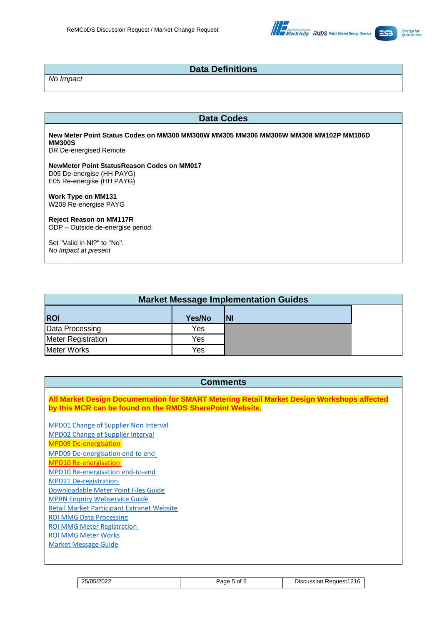

# **Data Definitions**

*No Impact*

## **Data Codes**

**New Meter Point Status Codes on MM300 MM300W MM305 MM306 MM306W MM308 MM102P MM106D MM300S**

DR De-energised Remote

### **NewMeter Point StatusReason Codes on MM017** D05 De-energise (HH PAYG) E05 Re-energise (HH PAYG)

**Work Type on MM131** W208 Re-energise PAYG

## **Reject Reason on MM117R**

ODP – Outside de-energise period.

Set "Valid in NI?" to "No". *No Impact at present*

| <b>Market Message Implementation Guides</b> |     |  |  |  |  |  |
|---------------------------------------------|-----|--|--|--|--|--|
| <b>ROI</b><br><b>NI</b><br>Yes/No           |     |  |  |  |  |  |
| Data Processing                             | Yes |  |  |  |  |  |
| <b>Meter Registration</b>                   | Yes |  |  |  |  |  |
| <b>Meter Works</b>                          | Yes |  |  |  |  |  |

# **Comments All Market Design Documentation for SMART Metering Retail Market Design Workshops affected by this MCR can be found on the RMDS SharePoint Website.** [MPD01 Change of Supplier Non Interval](https://electricitysupplyboard.sharepoint.com/sites/ESBNTWKS/rmds/Supplier%20Queries%20for%20SMART/Forms/AllItems.aspx?originalPath=aHR0cHM6Ly9lbGVjdHJpY2l0eXN1cHBseWJvYXJkLnNoYXJlcG9pbnQuY29tLzpmOi9zL0VTQk5UV0tTL3JtZHMvRW9OY1g4d1Bxb2RGbmVCS2VycW5jb1FCQkRjNzkxUDBkc2pCOWVXV0x6TEZyZz9ydGltZT1VdHhpekQ4djJVZw&id=%2Fsites%2FESBNTWKS%2Frmds%2FSupplier%20Queries%20for%20SMART%2FDraft%20v14%20Market%20Documentation%2FMPDs%2FMPD%2001%20CoS%20Non%20Interval%5FV14%20Working%20Draft%2Epdf&parent=%2Fsites%2FESBNTWKS%2Frmds%2FSupplier%20Queries%20for%20SMART%2FDraft%20v14%20Market%20Documentation%2FMPDs) [MPD02 Change of Supplier Interval](https://electricitysupplyboard.sharepoint.com/sites/ESBNTWKS/rmds/Supplier%20Queries%20for%20SMART/Forms/AllItems.aspx?originalPath=aHR0cHM6Ly9lbGVjdHJpY2l0eXN1cHBseWJvYXJkLnNoYXJlcG9pbnQuY29tLzpmOi9zL0VTQk5UV0tTL3JtZHMvRW9OY1g4d1Bxb2RGbmVCS2VycW5jb1FCQkRjNzkxUDBkc2pCOWVXV0x6TEZyZz9ydGltZT1VdHhpekQ4djJVZw&id=%2Fsites%2FESBNTWKS%2Frmds%2FSupplier%20Queries%20for%20SMART%2FDraft%20v14%20Market%20Documentation%2FMPDs%2FMPD%2002%20Change%20of%20Supplier%20QH%20%2D%20Working%20Draft%20v14%20%281%29%2Epdf&parent=%2Fsites%2FESBNTWKS%2Frmds%2FSupplier%20Queries%20for%20SMART%2FDraft%20v14%20Market%20Documentation%2FMPDs) [MPD09 De-energisation](https://electricitysupplyboard.sharepoint.com/sites/ESBNTWKS/rmds/Supplier%20Queries%20for%20SMART/Forms/AllItems.aspx?originalPath=aHR0cHM6Ly9lbGVjdHJpY2l0eXN1cHBseWJvYXJkLnNoYXJlcG9pbnQuY29tLzpmOi9zL0VTQk5UV0tTL3JtZHMvRW9OY1g4d1Bxb2RGbmVCS2VycW5jb1FCQkRjNzkxUDBkc2pCOWVXV0x6TEZyZz9ydGltZT1VdHhpekQ4djJVZw&id=%2Fsites%2FESBNTWKS%2Frmds%2FSupplier%20Queries%20for%20SMART%2FDraft%20v14%20Market%20Documentation%2FMPDs%2FMPD%2009%20De%2DEnergisation%5FV14%20Working%20Draft%20V1%2E2%2Epdf&parent=%2Fsites%2FESBNTWKS%2Frmds%2FSupplier%20Queries%20for%20SMART%2FDraft%20v14%20Market%20Documentation%2FMPDs) [MPD09 De-energisation end](https://electricitysupplyboard.sharepoint.com/sites/ESBNTWKS/rmds/Supplier%20Queries%20for%20SMART/Forms/AllItems.aspx?originalPath=aHR0cHM6Ly9lbGVjdHJpY2l0eXN1cHBseWJvYXJkLnNoYXJlcG9pbnQuY29tLzpmOi9zL0VTQk5UV0tTL3JtZHMvRW9OY1g4d1Bxb2RGbmVCS2VycW5jb1FCQkRjNzkxUDBkc2pCOWVXV0x6TEZyZz9ydGltZT1VdHhpekQ4djJVZw&id=%2Fsites%2FESBNTWKS%2Frmds%2FSupplier%20Queries%20for%20SMART%2FDraft%20v14%20Market%20Documentation%2FMPDs%2FMPD%2009%20De%2DEnergise%20End%20to%20End%20Working%20Draft%20v14%2Epdf&parent=%2Fsites%2FESBNTWKS%2Frmds%2FSupplier%20Queries%20for%20SMART%2FDraft%20v14%20Market%20Documentation%2FMPDs) to end [MPD10 Re-energisation](https://electricitysupplyboard.sharepoint.com/sites/ESBNTWKS/rmds/Supplier%20Queries%20for%20SMART/Forms/AllItems.aspx?originalPath=aHR0cHM6Ly9lbGVjdHJpY2l0eXN1cHBseWJvYXJkLnNoYXJlcG9pbnQuY29tLzpmOi9zL0VTQk5UV0tTL3JtZHMvRW9OY1g4d1Bxb2RGbmVCS2VycW5jb1FCQkRjNzkxUDBkc2pCOWVXV0x6TEZyZz9ydGltZT1VdHhpekQ4djJVZw&id=%2Fsites%2FESBNTWKS%2Frmds%2FSupplier%20Queries%20for%20SMART%2FDraft%20v14%20Market%20Documentation%2FMPDs%2FMPD%2010%20Re%20Energise%5Fv14%20Working%20Draft%20V1%2E2%2Epdf&parent=%2Fsites%2FESBNTWKS%2Frmds%2FSupplier%20Queries%20for%20SMART%2FDraft%20v14%20Market%20Documentation%2FMPDs) [MPD10 Re-energisation end-to-end](https://electricitysupplyboard.sharepoint.com/sites/ESBNTWKS/rmds/Supplier%20Queries%20for%20SMART/Forms/AllItems.aspx?originalPath=aHR0cHM6Ly9lbGVjdHJpY2l0eXN1cHBseWJvYXJkLnNoYXJlcG9pbnQuY29tLzpmOi9zL0VTQk5UV0tTL3JtZHMvRW9OY1g4d1Bxb2RGbmVCS2VycW5jb1FCQkRjNzkxUDBkc2pCOWVXV0x6TEZyZz9ydGltZT1VdHhpekQ4djJVZw&id=%2Fsites%2FESBNTWKS%2Frmds%2FSupplier%20Queries%20for%20SMART%2FDraft%20v14%20Market%20Documentation%2FMPDs%2FMPD%2010%20Re%2DEnergise%20End%20to%20End%20Working%20Draft%20v14%2Epdf&parent=%2Fsites%2FESBNTWKS%2Frmds%2FSupplier%20Queries%20for%20SMART%2FDraft%20v14%20Market%20Documentation%2FMPDs) [MPD21 De-registration](https://electricitysupplyboard.sharepoint.com/sites/ESBNTWKS/rmds/Supplier%20Queries%20for%20SMART/Forms/AllItems.aspx?originalPath=aHR0cHM6Ly9lbGVjdHJpY2l0eXN1cHBseWJvYXJkLnNoYXJlcG9pbnQuY29tLzpmOi9zL0VTQk5UV0tTL3JtZHMvRW9OY1g4d1Bxb2RGbmVCS2VycW5jb1FCQkRjNzkxUDBkc2pCOWVXV0x6TEZyZz9ydGltZT1VdHhpekQ4djJVZw&id=%2Fsites%2FESBNTWKS%2Frmds%2FSupplier%20Queries%20for%20SMART%2FDraft%20v14%20Market%20Documentation%2FMPDs%2FMPD%2021%20De%2DRegistration%2Epdf&parent=%2Fsites%2FESBNTWKS%2Frmds%2FSupplier%20Queries%20for%20SMART%2FDraft%20v14%20Market%20Documentation%2FMPDs) [Downloadable Meter Point Files Guide](https://electricitysupplyboard.sharepoint.com/:x:/r/sites/ESBNTWKS/rmds/_layouts/15/Doc.aspx?sourcedoc=%7BEE88FBAA-425F-4EBD-9905-9CBF5DEE1CC1%7D&file=Downloadable%20Meter%20Point%20Files%20Guide%20Working%20Draft%20v14%20External.xlsx&action=default&mobileredirect=true) [MPRN Enquiry Webservice Guide](https://electricitysupplyboard.sharepoint.com/sites/ESBNTWKS/rmds/Supplier%20Queries%20for%20SMART/Forms/AllItems.aspx?originalPath=aHR0cHM6Ly9lbGVjdHJpY2l0eXN1cHBseWJvYXJkLnNoYXJlcG9pbnQuY29tLzpmOi9zL0VTQk5UV0tTL3JtZHMvRW9OY1g4d1Bxb2RGbmVCS2VycW5jb1FCQkRjNzkxUDBkc2pCOWVXV0x6TEZyZz9ydGltZT1VdHhpekQ4djJVZw&id=%2Fsites%2FESBNTWKS%2Frmds%2FSupplier%20Queries%20for%20SMART%2FDraft%20v14%20Market%20Documentation%2FBriefing%20Documents%2FMPRN%20Enquiry%20Web%20Service%20Guide%20Working%20Draft%20v14%20External%2Epdf&parent=%2Fsites%2FESBNTWKS%2Frmds%2FSupplier%20Queries%20for%20SMART%2FDraft%20v14%20Market%20Documentation%2FBriefing%20Documents) [Retail Market Participant Extranet Website](https://electricitysupplyboard.sharepoint.com/sites/ESBNTWKS/rmds/Supplier%20Queries%20for%20SMART/Forms/AllItems.aspx?originalPath=aHR0cHM6Ly9lbGVjdHJpY2l0eXN1cHBseWJvYXJkLnNoYXJlcG9pbnQuY29tLzpmOi9zL0VTQk5UV0tTL3JtZHMvRW9OY1g4d1Bxb2RGbmVCS2VycW5jb1FCQkRjNzkxUDBkc2pCOWVXV0x6TEZyZz9ydGltZT1VdHhpekQ4djJVZw&id=%2Fsites%2FESBNTWKS%2Frmds%2FSupplier%20Queries%20for%20SMART%2FDraft%20v14%20Market%20Documentation%2FBriefing%20Documents%2FRetail%20Market%20Participant%20Extranet%20Website%20Guide%5Fv14%20Working%20Draft%20%2Epdf&parent=%2Fsites%2FESBNTWKS%2Frmds%2FSupplier%20Queries%20for%20SMART%2FDraft%20v14%20Market%20Documentation%2FBriefing%20Documents) [ROI MMG Data Processing](https://electricitysupplyboard.sharepoint.com/sites/ESBNTWKS/rmds/Supplier%20Queries%20for%20SMART/Forms/AllItems.aspx?originalPath=aHR0cHM6Ly9lbGVjdHJpY2l0eXN1cHBseWJvYXJkLnNoYXJlcG9pbnQuY29tLzpmOi9zL0VTQk5UV0tTL3JtZHMvRW9OY1g4d1Bxb2RGbmVCS2VycW5jb1FCQkRjNzkxUDBkc2pCOWVXV0x6TEZyZz9ydGltZT1VdHhpekQ4djJVZw&id=%2Fsites%2FESBNTWKS%2Frmds%2FSupplier%20Queries%20for%20SMART%2FDeenergisation%20%26%20Reenergisation%20MCR%2FMarket%20Documents%2FROI%20Market%20Message%20Guide%20%2D%20Data%20Processing%20V5%2E1%20External%2Epdf&parent=%2Fsites%2FESBNTWKS%2Frmds%2FSupplier%20Queries%20for%20SMART%2FDeenergisation%20%26%20Reenergisation%20MCR%2FMarket%20Documents) [ROI MMG Meter Registration](https://electricitysupplyboard.sharepoint.com/sites/ESBNTWKS/rmds/Supplier%20Queries%20for%20SMART/Forms/AllItems.aspx?id=%2Fsites%2FESBNTWKS%2Frmds%2FSupplier%20Queries%20for%20SMART%2FDraft%20v14%20Market%20Documentation%2FMarket%20Message%20Guides%2FMarket%20Message%20Guide%20%2D%20Data%20Processing%20%5FV14%20Working%20Draft%2Epdf&parent=%2Fsites%2FESBNTWKS%2Frmds%2FSupplier%20Queries%20for%20SMART%2FDraft%20v14%20Market%20Documentation%2FMarket%20Message%20Guides) [ROI MMG Meter](https://electricitysupplyboard.sharepoint.com/sites/ESBNTWKS/rmds/Supplier%20Queries%20for%20SMART/Forms/AllItems.aspx?id=%2Fsites%2FESBNTWKS%2Frmds%2FSupplier%20Queries%20for%20SMART%2FDraft%20v14%20Market%20Documentation%2FMarket%20Message%20Guides%2FMarket%20Message%20Guide%20%2D%20Data%20Processing%20%5FV14%20Working%20Draft%2Epdf&parent=%2Fsites%2FESBNTWKS%2Frmds%2FSupplier%20Queries%20for%20SMART%2FDraft%20v14%20Market%20Documentation%2FMarket%20Message%20Guides) Works [Market Message Guide](https://electricitysupplyboard.sharepoint.com/:x:/r/sites/ESBNTWKS/rmds/_layouts/15/Doc.aspx?sourcedoc=%7B7792BFFE-2953-4A33-BC0C-A90873023D85%7D&file=Market-Schema-Guide%20_v14%20Working%20Draft.xlsx&action=default&mobileredirect=true&cid=210f7053-27fa-4c72-8129-e5020efdd415)

| '05/2022<br>25/05/2 | 'age<br>0t<br>b | Request1216<br><b>Discussion</b> |
|---------------------|-----------------|----------------------------------|
|---------------------|-----------------|----------------------------------|